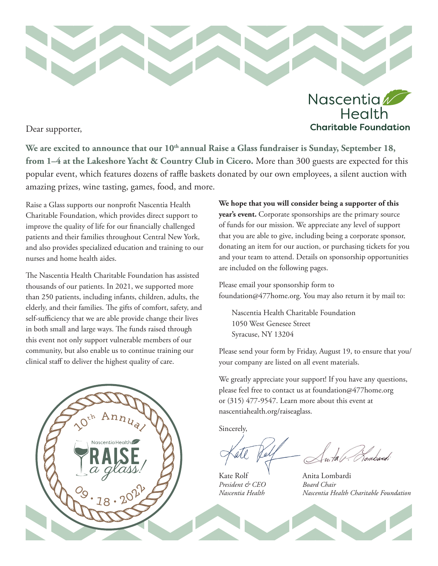

Dear supporter,

We are excited to announce that our 10<sup>th</sup> annual Raise a Glass fundraiser is Sunday, September 18, **from 1–4 at the Lakeshore Yacht & Country Club in Cicero.** More than 300 guests are expected for this popular event, which features dozens of raffle baskets donated by our own employees, a silent auction with amazing prizes, wine tasting, games, food, and more.

Raise a Glass supports our nonprofit Nascentia Health Charitable Foundation, which provides direct support to improve the quality of life for our financially challenged patients and their families throughout Central New York, and also provides specialized education and training to our nurses and home health aides.

The Nascentia Health Charitable Foundation has assisted thousands of our patients. In 2021, we supported more than 250 patients, including infants, children, adults, the elderly, and their families. The gifts of comfort, safety, and self-sufficiency that we are able provide change their lives in both small and large ways. The funds raised through this event not only support vulnerable members of our community, but also enable us to continue training our clinical staff to deliver the highest quality of care.



**We hope that you will consider being a supporter of this year's event.** Corporate sponsorships are the primary source of funds for our mission. We appreciate any level of support that you are able to give, including being a corporate sponsor, donating an item for our auction, or purchasing tickets for you and your team to attend. Details on sponsorship opportunities are included on the following pages.

Health

**Charitable Foundation** 

Please email your sponsorship form to foundation@477home.org. You may also return it by mail to:

Nascentia Health Charitable Foundation 1050 West Genesee Street Syracuse, NY 13204

Please send your form by Friday, August 19, to ensure that you/ your company are listed on all event materials.

We greatly appreciate your support! If you have any questions, please feel free to contact us at foundation@477home.org or (315) 477-9547. Learn more about this event at nascentiahealth.org/raiseaglass.

Sincerely,

ombaxd;

*President & CEO* 

Kate Rolf Anita Lombardi<br>President & CEO Board Chair *Nascentia Health Nascentia Health Charitable Foundation*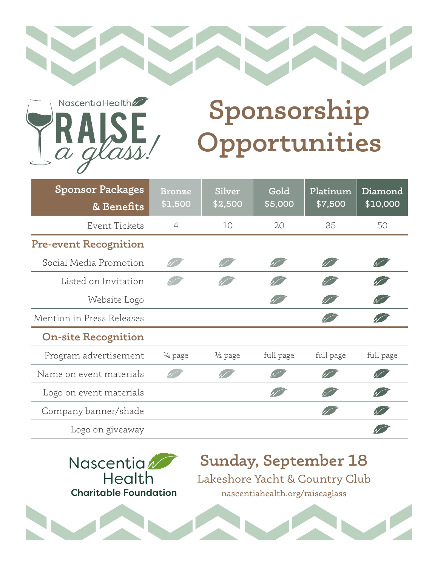



## **Sponsorship Opportunities**

| <b>Sponsor Packages</b><br>& Benefits | <b>Bronze</b><br>\$1,500 | Silver<br>\$2,500  | Gold<br>\$5,000 | Platinum<br>\$7,500 | Diamond<br>\$10,000 |
|---------------------------------------|--------------------------|--------------------|-----------------|---------------------|---------------------|
| Event Tickets                         | $\overline{4}$           | 10                 | 20              | 35                  | 50                  |
| <b>Pre-event Recognition</b>          |                          |                    |                 |                     |                     |
| Social Media Promotion                |                          |                    |                 |                     |                     |
| Listed on Invitation                  |                          |                    |                 |                     |                     |
| Website Logo                          |                          |                    |                 |                     |                     |
| Mention in Press Releases             |                          |                    |                 |                     |                     |
| <b>On-site Recognition</b>            |                          |                    |                 |                     |                     |
| Program advertisement                 | $\frac{1}{4}$ page       | $\frac{1}{2}$ page | full page       | full page           | full page           |
| Name on event materials               |                          |                    |                 |                     |                     |
| Logo on event materials               |                          |                    |                 |                     |                     |
| Company banner/shade                  |                          |                    |                 |                     |                     |
| Logo on giveaway                      |                          |                    |                 |                     |                     |